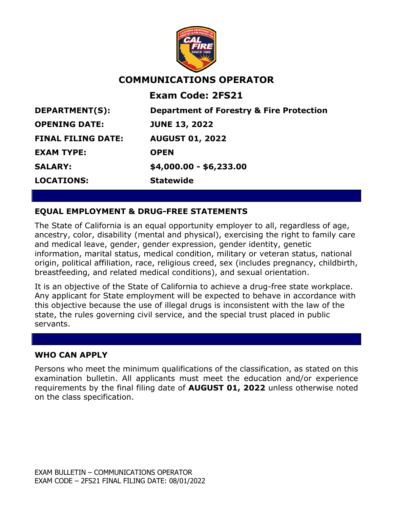

# **COMMUNICATIONS OPERATOR**

**Exam Code: 2FS21**

**EXAM TYPE: OPEN LOCATIONS: Statewide**

**DEPARTMENT(S): Department of Forestry & Fire Protection OPENING DATE: JUNE 13, 2022 FINAL FILING DATE: AUGUST 01, 2022 SALARY: \$4,000.00 - \$6,233.00**

## **EQUAL EMPLOYMENT & DRUG-FREE STATEMENTS**

The State of California is an equal opportunity employer to all, regardless of age, ancestry, color, disability (mental and physical), exercising the right to family care and medical leave, gender, gender expression, gender identity, genetic information, marital status, medical condition, military or veteran status, national origin, political affiliation, race, religious creed, sex (includes pregnancy, childbirth, breastfeeding, and related medical conditions), and sexual orientation.

It is an objective of the State of California to achieve a drug-free state workplace. Any applicant for State employment will be expected to behave in accordance with this objective because the use of illegal drugs is inconsistent with the law of the state, the rules governing civil service, and the special trust placed in public servants.

#### **WHO CAN APPLY**

Persons who meet the minimum qualifications of the classification, as stated on this examination bulletin. All applicants must meet the education and/or experience requirements by the final filing date of **AUGUST 01, 2022** unless otherwise noted on the class specification.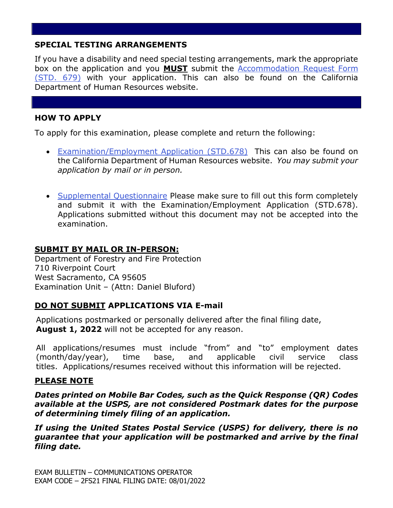## **SPECIAL TESTING ARRANGEMENTS**

If you have a disability and need special testing arrangements, mark the appropriate box on the application and you **MUST** submit the [Accommodation Request Form](https://jobs.ca.gov/pdf/STD679.pdf)  [\(STD. 679\)](https://jobs.ca.gov/pdf/STD679.pdf) with your application. This can also be found on the California Department of Human Resources website.

### **HOW TO APPLY**

To apply for this examination, please complete and return the following:

- [Examination/Employment Application \(STD.678\)](https://jobs.ca.gov/pdf/std678.pdf) This can also be found on the California Department of Human Resources website. *You may submit your application by mail or in person.*
- [Supplemental Questionnaire](https://www.fire.ca.gov/media/etddxial/commopsupplemental.pdf) Please make sure to fill out this form completely and submit it with the Examination/Employment Application (STD.678). Applications submitted without this document may not be accepted into the examination.

#### **SUBMIT BY MAIL OR IN-PERSON:**

Department of Forestry and Fire Protection 710 Riverpoint Court West Sacramento, CA 95605 Examination Unit – (Attn: Daniel Bluford)

## **DO NOT SUBMIT APPLICATIONS VIA E-mail**

Applications postmarked or personally delivered after the final filing date, **August 1, 2022** will not be accepted for any reason.

All applications/resumes must include "from" and "to" employment dates (month/day/year), time base, and applicable civil service class titles. Applications/resumes received without this information will be rejected.

#### **PLEASE NOTE**

*Dates printed on Mobile Bar Codes, such as the Quick Response (QR) Codes available at the USPS, are not considered Postmark dates for the purpose of determining timely filing of an application.*

*If using the United States Postal Service (USPS) for delivery, there is no guarantee that your application will be postmarked and arrive by the final filing date.*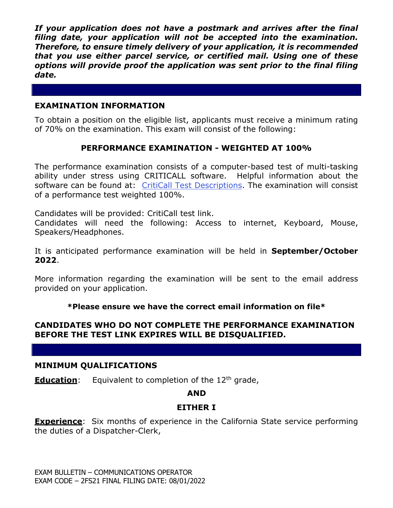*If your application does not have a postmark and arrives after the final filing date, your application will not be accepted into the examination. Therefore, to ensure timely delivery of your application, it is recommended that you use either parcel service, or certified mail. Using one of these options will provide proof the application was sent prior to the final filing date.*

### **EXAMINATION INFORMATION**

To obtain a position on the eligible list, applicants must receive a minimum rating of 70% on the examination. This exam will consist of the following:

### **PERFORMANCE EXAMINATION - WEIGHTED AT 100%**

The performance examination consists of a computer-based test of multi-tasking ability under stress using CRITICALL software. Helpful information about the software can be found at: [CritiCall Test Descriptions.](https://criticall911.com/dispatcher-testing/agencieshr/test-descriptions/) The examination will consist of a performance test weighted 100%.

Candidates will be provided: CritiCall test link.

Candidates will need the following: Access to internet, Keyboard, Mouse, Speakers/Headphones.

It is anticipated performance examination will be held in **September/October 2022**.

More information regarding the examination will be sent to the email address provided on your application.

**\*Please ensure we have the correct email information on file\***

### **CANDIDATES WHO DO NOT COMPLETE THE PERFORMANCE EXAMINATION BEFORE THE TEST LINK EXPIRES WILL BE DISQUALIFIED.**

#### **MINIMUM QUALIFICATIONS**

**Education:** Equivalent to completion of the 12<sup>th</sup> grade,

#### **AND**

#### **EITHER I**

**Experience**: Six months of experience in the California State service performing the duties of a Dispatcher-Clerk,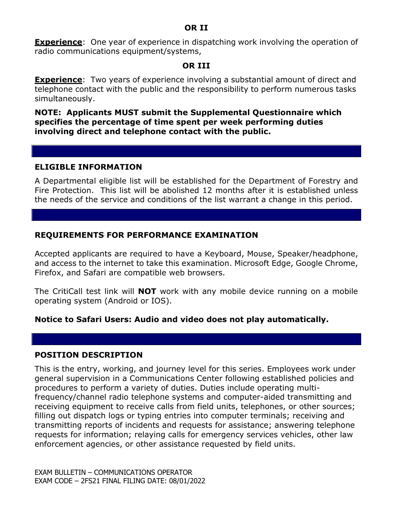**Experience**: One year of experience in dispatching work involving the operation of radio communications equipment/systems,

#### **OR III**

**Experience**: Two years of experience involving a substantial amount of direct and telephone contact with the public and the responsibility to perform numerous tasks simultaneously.

**NOTE: Applicants MUST submit the Supplemental Questionnaire which specifies the percentage of time spent per week performing duties involving direct and telephone contact with the public.**

#### **ELIGIBLE INFORMATION**

A Departmental eligible list will be established for the Department of Forestry and Fire Protection. This list will be abolished 12 months after it is established unless the needs of the service and conditions of the list warrant a change in this period.

### **REQUIREMENTS FOR PERFORMANCE EXAMINATION**

Accepted applicants are required to have a Keyboard, Mouse, Speaker/headphone, and access to the internet to take this examination. Microsoft Edge, Google Chrome, Firefox, and Safari are compatible web browsers.

The CritiCall test link will **NOT** work with any mobile device running on a mobile operating system (Android or IOS).

#### **Notice to Safari Users: Audio and video does not play automatically.**

#### **POSITION DESCRIPTION**

This is the entry, working, and journey level for this series. Employees work under general supervision in a Communications Center following established policies and procedures to perform a variety of duties. Duties include operating multifrequency/channel radio telephone systems and computer-aided transmitting and receiving equipment to receive calls from field units, telephones, or other sources; filling out dispatch logs or typing entries into computer terminals; receiving and transmitting reports of incidents and requests for assistance; answering telephone requests for information; relaying calls for emergency services vehicles, other law enforcement agencies, or other assistance requested by field units.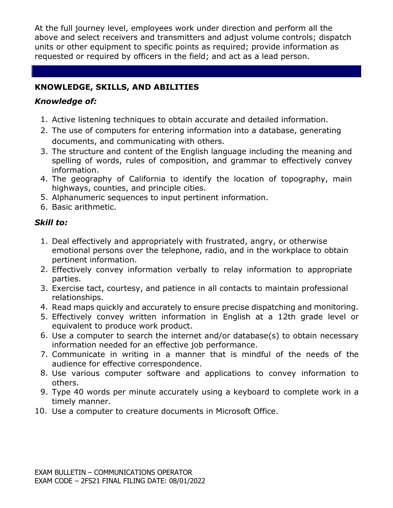At the full journey level, employees work under direction and perform all the above and select receivers and transmitters and adjust volume controls; dispatch units or other equipment to specific points as required; provide information as requested or required by officers in the field; and act as a lead person.

## **KNOWLEDGE, SKILLS, AND ABILITIES**

### *Knowledge of:*

- 1. Active listening techniques to obtain accurate and detailed information.
- 2. The use of computers for entering information into a database, generating documents, and communicating with others.
- 3. The structure and content of the English language including the meaning and spelling of words, rules of composition, and grammar to effectively convey information.
- 4. The geography of California to identify the location of topography, main highways, counties, and principle cities.
- 5. Alphanumeric sequences to input pertinent information.
- 6. Basic arithmetic.

## *Skill to:*

- 1. Deal effectively and appropriately with frustrated, angry, or otherwise emotional persons over the telephone, radio, and in the workplace to obtain pertinent information.
- 2. Effectively convey information verbally to relay information to appropriate parties.
- 3. Exercise tact, courtesy, and patience in all contacts to maintain professional relationships.
- 4. Read maps quickly and accurately to ensure precise dispatching and monitoring.
- 5. Effectively convey written information in English at a 12th grade level or equivalent to produce work product.
- 6. Use a computer to search the internet and/or database(s) to obtain necessary information needed for an effective job performance.
- 7. Communicate in writing in a manner that is mindful of the needs of the audience for effective correspondence.
- 8. Use various computer software and applications to convey information to others.
- 9. Type 40 words per minute accurately using a keyboard to complete work in a timely manner.
- 10. Use a computer to creature documents in Microsoft Office.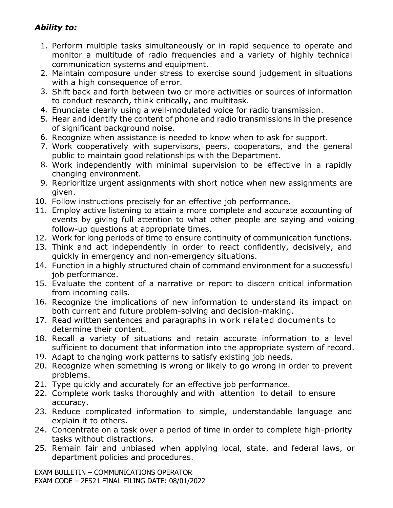# *Ability to:*

- 1. Perform multiple tasks simultaneously or in rapid sequence to operate and monitor a multitude of radio frequencies and a variety of highly technical communication systems and equipment.
- 2. Maintain composure under stress to exercise sound judgement in situations with a high consequence of error.
- 3. Shift back and forth between two or more activities or sources of information to conduct research, think critically, and multitask.
- 4. Enunciate clearly using a well-modulated voice for radio transmission.
- 5. Hear and identify the content of phone and radio transmissions in the presence of significant background noise.
- 6. Recognize when assistance is needed to know when to ask for support.
- 7. Work cooperatively with supervisors, peers, cooperators, and the general public to maintain good relationships with the Department.
- 8. Work independently with minimal supervision to be effective in a rapidly changing environment.
- 9. Reprioritize urgent assignments with short notice when new assignments are given.
- 10. Follow instructions precisely for an effective job performance.
- 11. Employ active listening to attain a more complete and accurate accounting of events by giving full attention to what other people are saying and voicing follow-up questions at appropriate times.
- 12. Work for long periods of time to ensure continuity of communication functions.
- 13. Think and act independently in order to react confidently, decisively, and quickly in emergency and non-emergency situations.
- 14. Function in a highly structured chain of command environment for a successful job performance.
- 15. Evaluate the content of a narrative or report to discern critical information from incoming calls.
- 16. Recognize the implications of new information to understand its impact on both current and future problem-solving and decision-making.
- 17. Read written sentences and paragraphs in work related documents to determine their content.
- 18. Recall a variety of situations and retain accurate information to a level sufficient to document that information into the appropriate system of record.
- 19. Adapt to changing work patterns to satisfy existing job needs.
- 20. Recognize when something is wrong or likely to go wrong in order to prevent problems.
- 21. Type quickly and accurately for an effective job performance.
- 22. Complete work tasks thoroughly and with attention to detail to ensure accuracy.
- 23. Reduce complicated information to simple, understandable language and explain it to others.
- 24. Concentrate on a task over a period of time in order to complete high-priority tasks without distractions.
- 25. Remain fair and unbiased when applying local, state, and federal laws, or department policies and procedures.

EXAM BULLETIN – COMMUNICATIONS OPERATOR EXAM CODE – 2FS21 FINAL FILING DATE: 08/01/2022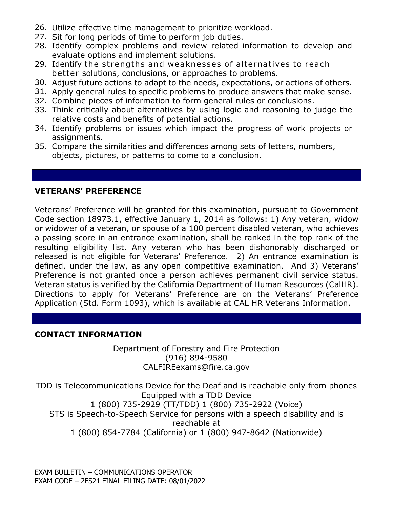- 26. Utilize effective time management to prioritize workload.
- 27. Sit for long periods of time to perform job duties.
- 28. Identify complex problems and review related information to develop and evaluate options and implement solutions.
- 29. Identify the strengths and weaknesses of alternatives to reach better solutions, conclusions, or approaches to problems.
- 30. Adjust future actions to adapt to the needs, expectations, or actions of others.
- 31. Apply general rules to specific problems to produce answers that make sense.
- 32. Combine pieces of information to form general rules or conclusions.
- 33. Think critically about alternatives by using logic and reasoning to judge the relative costs and benefits of potential actions.
- 34. Identify problems or issues which impact the progress of work projects or assignments.
- 35. Compare the similarities and differences among sets of letters, numbers, objects, pictures, or patterns to come to a conclusion.

## **VETERANS' PREFERENCE**

Veterans' Preference will be granted for this examination, pursuant to Government Code section 18973.1, effective January 1, 2014 as follows: 1) Any veteran, widow or widower of a veteran, or spouse of a 100 percent disabled veteran, who achieves a passing score in an entrance examination, shall be ranked in the top rank of the resulting eligibility list. Any veteran who has been dishonorably discharged or released is not eligible for Veterans' Preference. 2) An entrance examination is defined, under the law, as any open competitive examination. And 3) Veterans' Preference is not granted once a person achieves permanent civil service status. Veteran status is verified by the California Department of Human Resources (CalHR). Directions to apply for Veterans' Preference are on the Veterans' Preference Application (Std. Form 1093), which is available at [CAL HR Veterans Information.](https://jobs.ca.gov/CalHRPublic/Landing/Jobs/VeteransInformation.aspx)

## **CONTACT INFORMATION**

Department of Forestry and Fire Protection (916) 894-9580 CALFIREexams@fire.ca.gov

TDD is Telecommunications Device for the Deaf and is reachable only from phones Equipped with a TDD Device 1 (800) 735-2929 (TT/TDD) 1 (800) 735-2922 (Voice) STS is Speech-to-Speech Service for persons with a speech disability and is reachable at 1 (800) 854-7784 (California) or 1 (800) 947-8642 (Nationwide)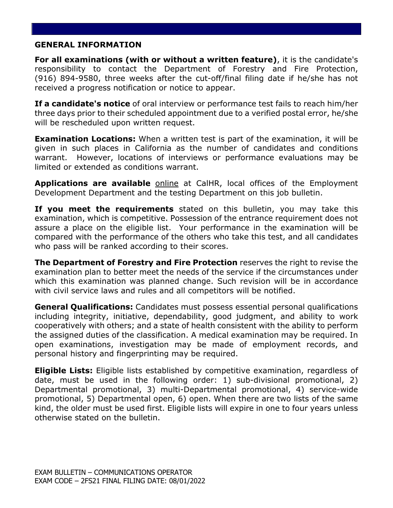#### **GENERAL INFORMATION**

**For all examinations (with or without a written feature)**, it is the candidate's responsibility to contact the Department of Forestry and Fire Protection, (916) 894-9580, three weeks after the cut-off/final filing date if he/she has not received a progress notification or notice to appear.

**If a candidate's notice** of oral interview or performance test fails to reach him/her three days prior to their scheduled appointment due to a verified postal error, he/she will be rescheduled upon written request.

**Examination Locations:** When a written test is part of the examination, it will be given in such places in California as the number of candidates and conditions warrant. However, locations of interviews or performance evaluations may be limited or extended as conditions warrant.

**Applications are available** [online](https://jobs.ca.gov/pdf/std678.pdf) at CalHR, local offices of the Employment Development Department and the testing Department on this job bulletin.

**If you meet the requirements** stated on this bulletin, you may take this examination, which is competitive. Possession of the entrance requirement does not assure a place on the eligible list. Your performance in the examination will be compared with the performance of the others who take this test, and all candidates who pass will be ranked according to their scores.

**The Department of Forestry and Fire Protection** reserves the right to revise the examination plan to better meet the needs of the service if the circumstances under which this examination was planned change. Such revision will be in accordance with civil service laws and rules and all competitors will be notified.

**General Qualifications:** Candidates must possess essential personal qualifications including integrity, initiative, dependability, good judgment, and ability to work cooperatively with others; and a state of health consistent with the ability to perform the assigned duties of the classification. A medical examination may be required. In open examinations, investigation may be made of employment records, and personal history and fingerprinting may be required.

**Eligible Lists:** Eligible lists established by competitive examination, regardless of date, must be used in the following order: 1) sub-divisional promotional, 2) Departmental promotional, 3) multi-Departmental promotional, 4) service-wide promotional, 5) Departmental open, 6) open. When there are two lists of the same kind, the older must be used first. Eligible lists will expire in one to four years unless otherwise stated on the bulletin.